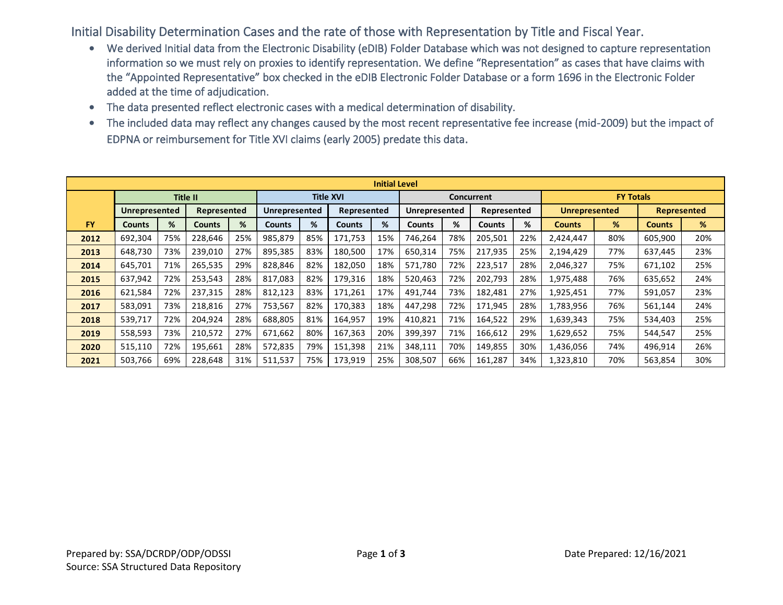Initial Disability Determination Cases and the rate of those with Representation by Title and Fiscal Year.

- We derived Initial data from the Electronic Disability (eDIB) Folder Database which was not designed to capture representation information so we must rely on proxies to identify representation. We define "Representation" as cases that have claims with the "Appointed Representative" box checked in the eDIB Electronic Folder Database or a form 1696 in the Electronic Folder added at the time of adjudication.
- The data presented reflect electronic cases with a medical determination of disability.
- The included data may reflect any changes caused by the most recent representative fee increase (mid-2009) but the impact of EDPNA or reimbursement for Title XVI claims (early 2005) predate this data.

| <b>Initial Level</b> |               |     |             |     |                  |     |               |     |               |     |               |     |                      |     |               |     |  |
|----------------------|---------------|-----|-------------|-----|------------------|-----|---------------|-----|---------------|-----|---------------|-----|----------------------|-----|---------------|-----|--|
|                      |               |     | Title II    |     | <b>Title XVI</b> |     |               |     | Concurrent    |     |               |     | <b>FY Totals</b>     |     |               |     |  |
|                      | Unrepresented |     | Represented |     | Unrepresented    |     | Represented   |     | Unrepresented |     | Represented   |     | <b>Unrepresented</b> |     | Represented   |     |  |
| <b>FY</b>            | Counts        | %   | Counts      | %   | <b>Counts</b>    | %   | <b>Counts</b> | %   | <b>Counts</b> | %   | <b>Counts</b> | %   | <b>Counts</b>        | %   | <b>Counts</b> | %   |  |
| 2012                 | 692,304       | 75% | 228,646     | 25% | 985,879          | 85% | 171,753       | 15% | 746,264       | 78% | 205,501       | 22% | 2,424,447            | 80% | 605,900       | 20% |  |
| 2013                 | 648,730       | 73% | 239,010     | 27% | 895,385          | 83% | 180,500       | 17% | 650,314       | 75% | 217,935       | 25% | 2,194,429            | 77% | 637,445       | 23% |  |
| 2014                 | 645,701       | 71% | 265,535     | 29% | 828,846          | 82% | 182,050       | 18% | 571,780       | 72% | 223,517       | 28% | 2,046,327            | 75% | 671,102       | 25% |  |
| 2015                 | 637,942       | 72% | 253,543     | 28% | 817.083          | 82% | 179,316       | 18% | 520,463       | 72% | 202,793       | 28% | 1,975,488            | 76% | 635,652       | 24% |  |
| 2016                 | 621,584       | 72% | 237,315     | 28% | 812,123          | 83% | 171,261       | 17% | 491,744       | 73% | 182,481       | 27% | 1,925,451            | 77% | 591,057       | 23% |  |
| 2017                 | 583,091       | 73% | 218,816     | 27% | 753,567          | 82% | 170,383       | 18% | 447,298       | 72% | 171,945       | 28% | 1,783,956            | 76% | 561,144       | 24% |  |
| 2018                 | 539,717       | 72% | 204,924     | 28% | 688,805          | 81% | 164,957       | 19% | 410,821       | 71% | 164,522       | 29% | 1,639,343            | 75% | 534,403       | 25% |  |
| 2019                 | 558,593       | 73% | 210,572     | 27% | 671,662          | 80% | 167,363       | 20% | 399,397       | 71% | 166,612       | 29% | 1,629,652            | 75% | 544,547       | 25% |  |
| 2020                 | 515,110       | 72% | 195,661     | 28% | 572,835          | 79% | 151,398       | 21% | 348,111       | 70% | 149,855       | 30% | 1,436,056            | 74% | 496,914       | 26% |  |
| 2021                 | 503,766       | 69% | 228,648     | 31% | 511,537          | 75% | 173,919       | 25% | 308,507       | 66% | 161,287       | 34% | 1,323,810            | 70% | 563,854       | 30% |  |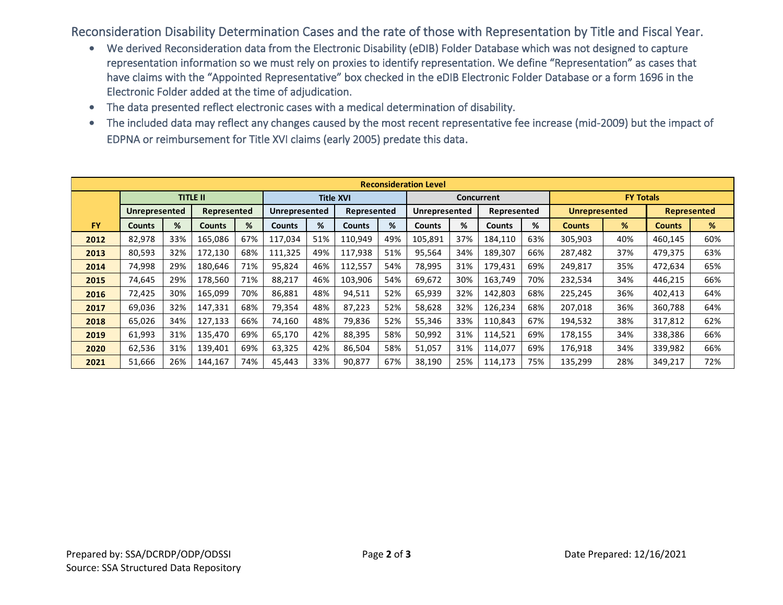Reconsideration Disability Determination Cases and the rate of those with Representation by Title and Fiscal Year.

- We derived Reconsideration data from the Electronic Disability (eDIB) Folder Database which was not designed to capture representation information so we must rely on proxies to identify representation. We define "Representation" as cases that have claims with the "Appointed Representative" box checked in the eDIB Electronic Folder Database or a form 1696 in the Electronic Folder added at the time of adjudication.
- The data presented reflect electronic cases with a medical determination of disability.
- The included data may reflect any changes caused by the most recent representative fee increase (mid-2009) but the impact of EDPNA or reimbursement for Title XVI claims (early 2005) predate this data.

| <b>Reconsideration Level</b> |               |     |                 |     |                  |     |               |     |                   |     |             |     |                      |     |                    |     |
|------------------------------|---------------|-----|-----------------|-----|------------------|-----|---------------|-----|-------------------|-----|-------------|-----|----------------------|-----|--------------------|-----|
|                              |               |     | <b>TITLE II</b> |     | <b>Title XVI</b> |     |               |     | <b>Concurrent</b> |     |             |     | <b>FY Totals</b>     |     |                    |     |
|                              | Unrepresented |     | Represented     |     | Unrepresented    |     | Represented   |     | Unrepresented     |     | Represented |     | <b>Unrepresented</b> |     | <b>Represented</b> |     |
| <b>FY</b>                    | <b>Counts</b> | %   | <b>Counts</b>   | %   | <b>Counts</b>    | %   | <b>Counts</b> | %   | <b>Counts</b>     | %   | Counts      | %   | <b>Counts</b>        | %   | <b>Counts</b>      | %   |
| 2012                         | 82,978        | 33% | 165,086         | 67% | 117,034          | 51% | 110,949       | 49% | 105,891           | 37% | 184,110     | 63% | 305,903              | 40% | 460,145            | 60% |
| 2013                         | 80,593        | 32% | 172,130         | 68% | 111,325          | 49% | 117,938       | 51% | 95,564            | 34% | 189,307     | 66% | 287,482              | 37% | 479,375            | 63% |
| 2014                         | 74,998        | 29% | 180,646         | 71% | 95,824           | 46% | 112,557       | 54% | 78,995            | 31% | 179,431     | 69% | 249,817              | 35% | 472,634            | 65% |
| 2015                         | 74,645        | 29% | 178,560         | 71% | 88.217           | 46% | 103,906       | 54% | 69,672            | 30% | 163,749     | 70% | 232,534              | 34% | 446,215            | 66% |
| 2016                         | 72,425        | 30% | 165,099         | 70% | 86,881           | 48% | 94,511        | 52% | 65,939            | 32% | 142,803     | 68% | 225,245              | 36% | 402,413            | 64% |
| 2017                         | 69,036        | 32% | 147,331         | 68% | 79,354           | 48% | 87,223        | 52% | 58,628            | 32% | 126,234     | 68% | 207,018              | 36% | 360,788            | 64% |
| 2018                         | 65,026        | 34% | 127,133         | 66% | 74,160           | 48% | 79,836        | 52% | 55,346            | 33% | 110,843     | 67% | 194,532              | 38% | 317,812            | 62% |
| 2019                         | 61,993        | 31% | 135,470         | 69% | 65,170           | 42% | 88,395        | 58% | 50,992            | 31% | 114,521     | 69% | 178,155              | 34% | 338,386            | 66% |
| 2020                         | 62,536        | 31% | 139,401         | 69% | 63,325           | 42% | 86,504        | 58% | 51,057            | 31% | 114,077     | 69% | 176,918              | 34% | 339,982            | 66% |
| 2021                         | 51,666        | 26% | 144,167         | 74% | 45,443           | 33% | 90,877        | 67% | 38,190            | 25% | 114,173     | 75% | 135,299              | 28% | 349,217            | 72% |